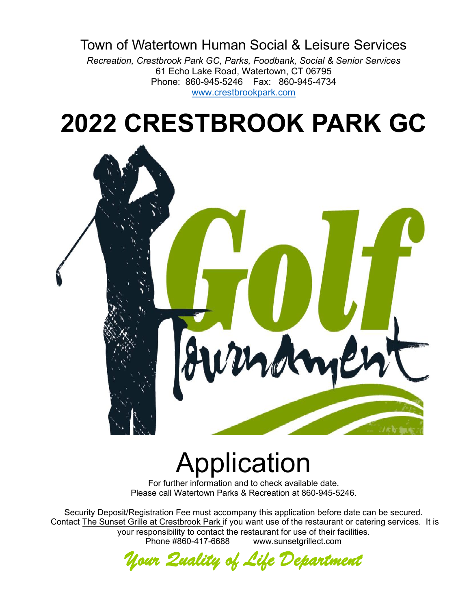# Town of Watertown Human Social & Leisure Services

*Recreation, Crestbrook Park GC, Parks, Foodbank, Social & Senior Services* 61 Echo Lake Road, Watertown, CT 06795 Phone: 860-945-5246 Fax: 860-945-4734 [www.crestbrookpark.com](http://www.crestbrookpark.com/)

# **2022 CRESTBROOK PARK GC**



# Application

For further information and to check available date. Please call Watertown Parks & Recreation at 860-945-5246.

Security Deposit/Registration Fee must accompany this application before date can be secured. Contact The Sunset Grille at Crestbrook Park if you want use of the restaurant or catering services. It is your responsibility to contact the restaurant for use of their facilities. Phone #860-417-6688 www.sunsetgrillect.com

*Your Quality of Life Department*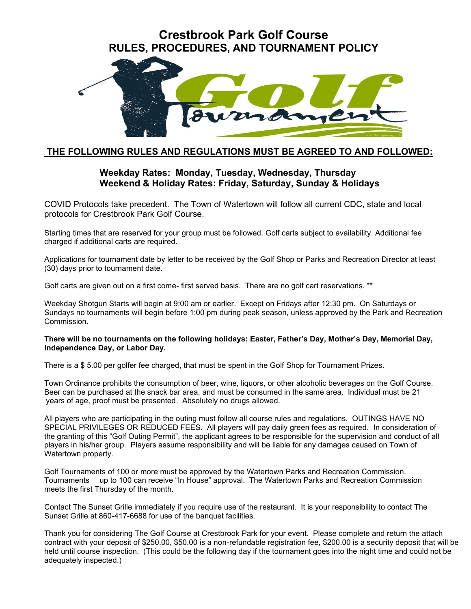## **Crestbrook Park Golf Course RULES, PROCEDURES, AND TOURNAMENT POLICY**



### **THE FOLLOWING RULES AND REGULATIONS MUST BE AGREED TO AND FOLLOWED:**

#### **Weekday Rates: Monday, Tuesday, Wednesday, Thursday Weekend & Holiday Rates: Friday, Saturday, Sunday & Holidays**

COVID Protocols take precedent. The Town of Watertown will follow all current CDC, state and local protocols for Crestbrook Park Golf Course.

Starting times that are reserved for your group must be followed. Golf carts subject to availability. Additional fee charged if additional carts are required.

Applications for tournament date by letter to be received by the Golf Shop or Parks and Recreation Director at least (30) days prior to tournament date.

Golf carts are given out on a first come- first served basis. There are no golf cart reservations. \*\*

Weekday Shotgun Starts will begin at 9:00 am or earlier. Except on Fridays after 12:30 pm. On Saturdays or Sundays no tournaments will begin before 1:00 pm during peak season, unless approved by the Park and Recreation Commission.

#### **There will be no tournaments on the following holidays: Easter, Father's Day, Mother's Day, Memorial Day, Independence Day, or Labor Day.**

There is a \$ 5.00 per golfer fee charged, that must be spent in the Golf Shop for Tournament Prizes.

Town Ordinance prohibits the consumption of beer, wine, liquors, or other alcoholic beverages on the Golf Course. Beer can be purchased at the snack bar area, and must be consumed in the same area. Individual must be 21 years of age, proof must be presented. Absolutely no drugs allowed.

All players who are participating in the outing must follow all course rules and regulations. OUTINGS HAVE NO SPECIAL PRIVILEGES OR REDUCED FEES. All players will pay daily green fees as required. In consideration of the granting of this "Golf Outing Permit", the applicant agrees to be responsible for the supervision and conduct of all players in his/her group. Players assume responsibility and will be liable for any damages caused on Town of Watertown property.

Golf Tournaments of 100 or more must be approved by the Watertown Parks and Recreation Commission. Tournaments up to 100 can receive "In House" approval. The Watertown Parks and Recreation Commission meets the first Thursday of the month.

Contact The Sunset Grille immediately if you require use of the restaurant. It is your responsibility to contact The Sunset Grille at 860-417-6688 for use of the banquet facilities.

Thank you for considering The Golf Course at Crestbrook Park for your event. Please complete and return the attach contract with your deposit of \$250.00, \$50.00 is a non-refundable registration fee, \$200.00 is a security deposit that will be held until course inspection. (This could be the following day if the tournament goes into the night time and could not be adequately inspected.)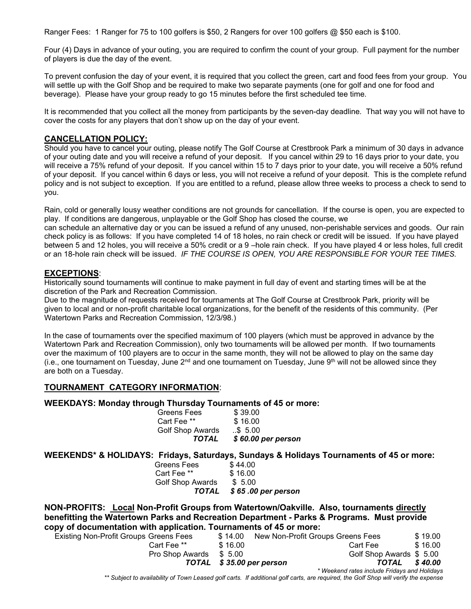Ranger Fees: 1 Ranger for 75 to 100 golfers is \$50, 2 Rangers for over 100 golfers @ \$50 each is \$100.

Four (4) Days in advance of your outing, you are required to confirm the count of your group. Full payment for the number of players is due the day of the event.

To prevent confusion the day of your event, it is required that you collect the green, cart and food fees from your group. You will settle up with the Golf Shop and be required to make two separate payments (one for golf and one for food and beverage). Please have your group ready to go 15 minutes before the first scheduled tee time.

It is recommended that you collect all the money from participants by the seven-day deadline. That way you will not have to cover the costs for any players that don't show up on the day of your event.

#### **CANCELLATION POLICY:**

Should you have to cancel your outing, please notify The Golf Course at Crestbrook Park a minimum of 30 days in advance of your outing date and you will receive a refund of your deposit. If you cancel within 29 to 16 days prior to your date, you will receive a 75% refund of your deposit. If you cancel within 15 to 7 days prior to your date, you will receive a 50% refund of your deposit. If you cancel within 6 days or less, you will not receive a refund of your deposit. This is the complete refund policy and is not subject to exception. If you are entitled to a refund, please allow three weeks to process a check to send to you.

Rain, cold or generally lousy weather conditions are not grounds for cancellation. If the course is open, you are expected to play. If conditions are dangerous, unplayable or the Golf Shop has closed the course, we

can schedule an alternative day or you can be issued a refund of any unused, non-perishable services and goods. Our rain check policy is as follows: If you have completed 14 of 18 holes, no rain check or credit will be issued. If you have played between 5 and 12 holes, you will receive a 50% credit or a 9 –hole rain check. If you have played 4 or less holes, full credit or an 18-hole rain check will be issued. *IF THE COURSE IS OPEN, YOU ARE RESPONSIBLE FOR YOUR TEE TIMES.*

#### **EXCEPTIONS**:

Historically sound tournaments will continue to make payment in full day of event and starting times will be at the discretion of the Park and Recreation Commission.

Due to the magnitude of requests received for tournaments at The Golf Course at Crestbrook Park, priority will be given to local and or non-profit charitable local organizations, for the benefit of the residents of this community. (Per Watertown Parks and Recreation Commission, 12/3/98.)

In the case of tournaments over the specified maximum of 100 players (which must be approved in advance by the Watertown Park and Recreation Commission), only two tournaments will be allowed per month. If two tournaments over the maximum of 100 players are to occur in the same month, they will not be allowed to play on the same day (i.e., one tournament on Tuesday, June  $2^{nd}$  and one tournament on Tuesday, June 9<sup>th</sup> will not be allowed since they are both on a Tuesday.

#### **TOURNAMENT CATEGORY INFORMATION**:

#### **WEEKDAYS: Monday through Thursday Tournaments of 45 or more:**

| <b>TOTAL</b>     | \$ 60.00 per person |
|------------------|---------------------|
| Golf Shop Awards | $$ \$ 5.00          |
| Cart Fee **      | \$16.00             |
| Greens Fees      | \$39.00             |

#### **WEEKENDS\* & HOLIDAYS: Fridays, Saturdays, Sundays & Holidays Tournaments of 45 or more:**

|                  | TOTAL \$65.00 per person |
|------------------|--------------------------|
| Golf Shop Awards | \$ 5.00                  |
| Cart Fee **      | \$16.00                  |
| Greens Fees      | \$44.00                  |
|                  |                          |

**NON-PROFITS: Local Non-Profit Groups from Watertown/Oakville. Also, tournaments directly benefitting the Watertown Parks and Recreation Department - Parks & Programs. Must provide copy of documentation with application. Tournaments of 45 or more:**

| <b>Existing Non-Profit Groups Greens Fees</b> | \$14.00 | New Non-Profit Groups Greens Fees                                                                                                   | \$19.00 |
|-----------------------------------------------|---------|-------------------------------------------------------------------------------------------------------------------------------------|---------|
| Cart Fee **                                   | \$16.00 | Cart Fee                                                                                                                            | \$16.00 |
| <b>Pro Shop Awards</b>                        | \$ 5.00 | Golf Shop Awards \$ 5.00                                                                                                            |         |
|                                               |         | TOTAL \$35.00 per person<br>TOTAL                                                                                                   | \$40.00 |
|                                               |         | * Weekend rates include Fridays and Holidays                                                                                        |         |
|                                               |         | ** Subject to availability of Town Leased golf carts. If additional golf carts, are required, the Golf Shop will verify the expense |         |